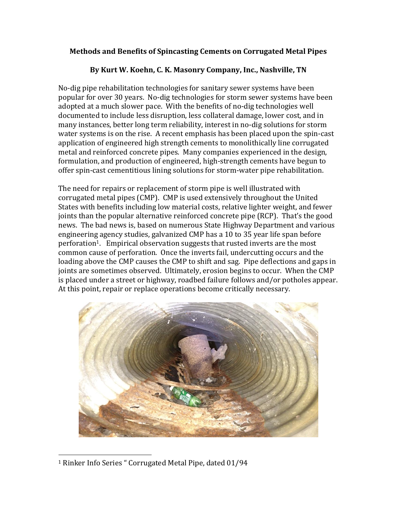## **Methods and Benefits of Spincasting Cements on Corrugated Metal Pipes**

## **By Kurt W. Koehn, C. K. Masonry Company, Inc., Nashville, TN**

No-dig pipe rehabilitation technologies for sanitary sewer systems have been popular for over 30 years. No-dig technologies for storm sewer systems have been adopted at a much slower pace. With the benefits of no-dig technologies well documented to include less disruption, less collateral damage, lower cost, and in many instances, better long term reliability, interest in no-dig solutions for storm water systems is on the rise. A recent emphasis has been placed upon the spin-cast application of engineered high strength cements to monolithically line corrugated metal and reinforced concrete pipes. Many companies experienced in the design, formulation, and production of engineered, high-strength cements have begun to offer spin-cast cementitious lining solutions for storm-water pipe rehabilitation.

The need for repairs or replacement of storm pipe is well illustrated with corrugated metal pipes (CMP). CMP is used extensively throughout the United States with benefits including low material costs, relative lighter weight, and fewer joints than the popular alternative reinforced concrete pipe (RCP). That's the good news. The bad news is, based on numerous State Highway Department and various engineering agency studies, galvanized CMP has a 10 to 35 year life span before perforation1. Empirical observation suggests that rusted inverts are the most common cause of perforation. Once the inverts fail, undercutting occurs and the loading above the CMP causes the CMP to shift and sag. Pipe deflections and gaps in joints are sometimes observed. Ultimately, erosion begins to occur. When the CMP is placed under a street or highway, roadbed failure follows and/or potholes appear. At this point, repair or replace operations become critically necessary.



<sup>1</sup> Rinker Info Series " Corrugated Metal Pipe, dated 01/94

l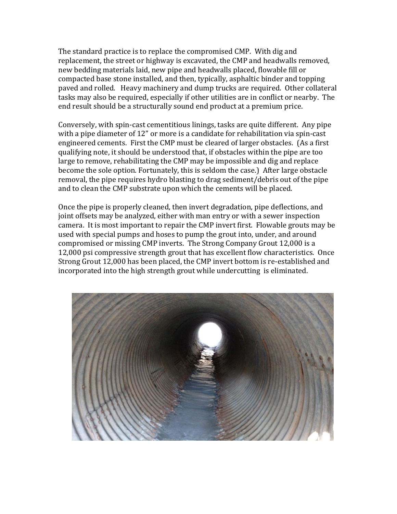The standard practice is to replace the compromised CMP. With dig and replacement, the street or highway is excavated, the CMP and headwalls removed, new bedding materials laid, new pipe and headwalls placed, flowable fill or compacted base stone installed, and then, typically, asphaltic binder and topping paved and rolled. Heavy machinery and dump trucks are required. Other collateral tasks may also be required, especially if other utilities are in conflict or nearby. The end result should be a structurally sound end product at a premium price.

Conversely, with spin-cast cementitious linings, tasks are quite different. Any pipe with a pipe diameter of 12" or more is a candidate for rehabilitation via spin-cast engineered cements. First the CMP must be cleared of larger obstacles. (As a first qualifying note, it should be understood that, if obstacles within the pipe are too large to remove, rehabilitating the CMP may be impossible and dig and replace become the sole option. Fortunately, this is seldom the case.) After large obstacle removal, the pipe requires hydro blasting to drag sediment/debris out of the pipe and to clean the CMP substrate upon which the cements will be placed.

Once the pipe is properly cleaned, then invert degradation, pipe deflections, and joint offsets may be analyzed, either with man entry or with a sewer inspection camera. It is most important to repair the CMP invert first. Flowable grouts may be used with special pumps and hoses to pump the grout into, under, and around compromised or missing CMP inverts. The Strong Company Grout 12,000 is a 12,000 psi compressive strength grout that has excellent flow characteristics. Once Strong Grout 12,000 has been placed, the CMP invert bottom is re-established and incorporated into the high strength grout while undercutting is eliminated.

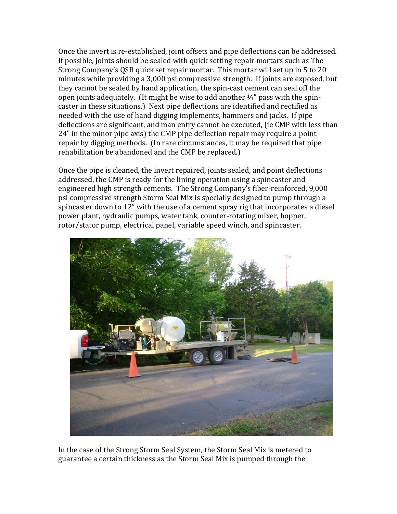Once the invert is re-established, joint offsets and pipe deflections can be addressed. If possible, joints should be sealed with quick setting repair mortars such as The Strong Company's QSR quick set repair mortar. This mortar will set up in 5 to 20 minutes while providing a 3,000 psi compressive strength. If joints are exposed, but they cannot be sealed by hand application, the spin-cast cement can seal off the open joints adequately. (It might be wise to add another  $\frac{1}{4}$ " pass with the spincaster in these situations.) Next pipe deflections are identified and rectified as needed with the use of hand digging implements, hammers and jacks. If pipe deflections are significant, and man entry cannot be executed, (ie CMP with less than 24" in the minor pipe axis) the CMP pipe deflection repair may require a point repair by digging methods. (In rare circumstances, it may be required that pipe rehabilitation be abandoned and the CMP be replaced.)

Once the pipe is cleaned, the invert repaired, joints sealed, and point deflections addressed, the CMP is ready for the lining operation using a spincaster and engineered high strength cements. The Strong Company's fiber-reinforced, 9,000 psi compressive strength Storm Seal Mix is specially designed to pump through a spincaster down to 12" with the use of a cement spray rig that incorporates a diesel power plant, hydraulic pumps, water tank, counter-rotating mixer, hopper, rotor/stator pump, electrical panel, variable speed winch, and spincaster.



In the case of the Strong Storm Seal System, the Storm Seal Mix is metered to guarantee a certain thickness as the Storm Seal Mix is pumped through the